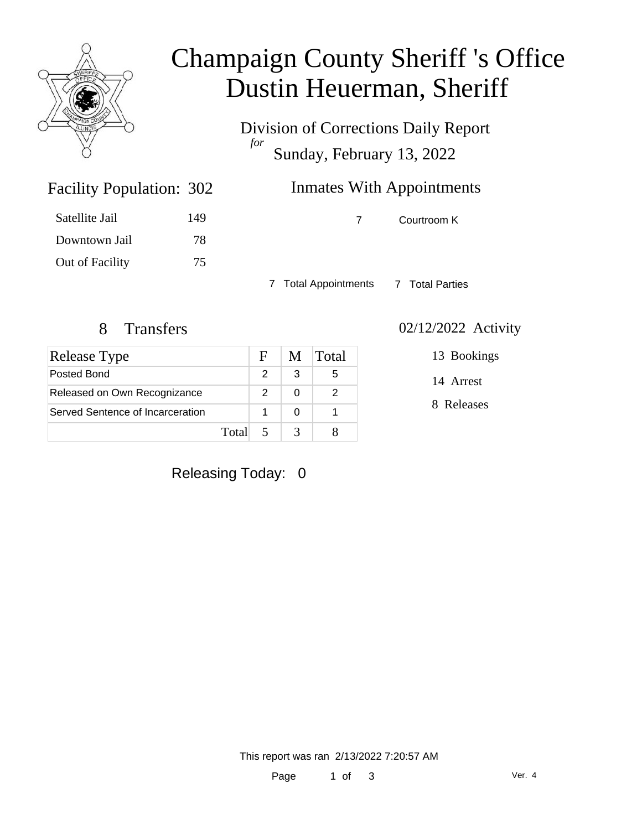

# Champaign County Sheriff 's Office Dustin Heuerman, Sheriff

Division of Corrections Daily Report *for* Sunday, February 13, 2022

| 302 | <b>Inmates With Appointments</b> |
|-----|----------------------------------|
|     |                                  |

| 149 |
|-----|
| 78  |
| 75  |
|     |

Facility Population: 302

7 Courtroom K

7 Total Appointments 7 Total Parties

| <b>Release Type</b>              |       | F. | M | <b>Total</b> |
|----------------------------------|-------|----|---|--------------|
| Posted Bond                      |       |    | 3 | 5            |
| Released on Own Recognizance     |       | 2  |   |              |
| Served Sentence of Incarceration |       |    |   |              |
|                                  | Total | -5 |   |              |

# Releasing Today: 0

#### 8 Transfers 02/12/2022 Activity

13 Bookings

14 Arrest

8 Releases

This report was ran 2/13/2022 7:20:57 AM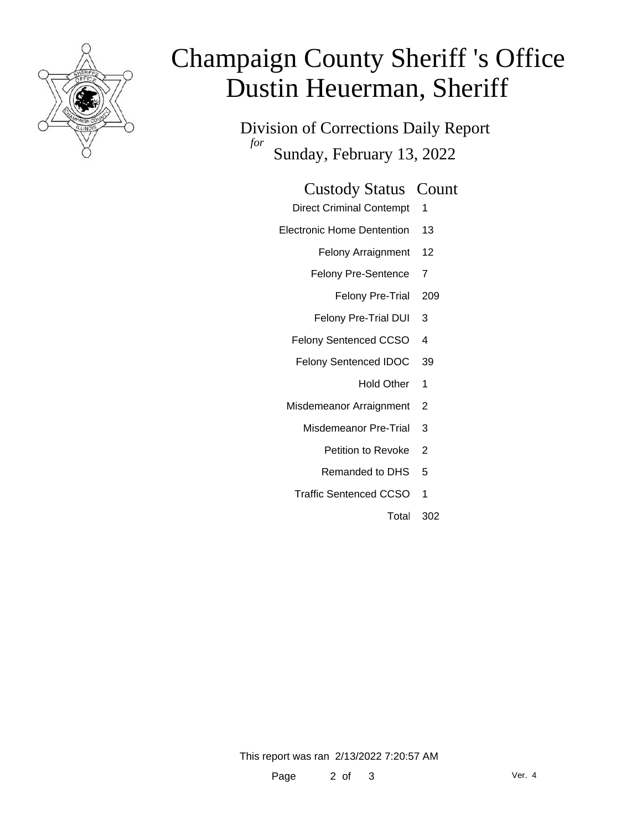

# Champaign County Sheriff 's Office Dustin Heuerman, Sheriff

Division of Corrections Daily Report *for* Sunday, February 13, 2022

#### Custody Status Count

- Direct Criminal Contempt 1
- Electronic Home Dentention 13
	- Felony Arraignment 12
	- Felony Pre-Sentence 7
		- Felony Pre-Trial 209
	- Felony Pre-Trial DUI 3
	- Felony Sentenced CCSO 4
	- Felony Sentenced IDOC 39
		- Hold Other 1
	- Misdemeanor Arraignment 2
		- Misdemeanor Pre-Trial 3
			- Petition to Revoke 2
			- Remanded to DHS 5
		- Traffic Sentenced CCSO 1
			- Total 302

This report was ran 2/13/2022 7:20:57 AM